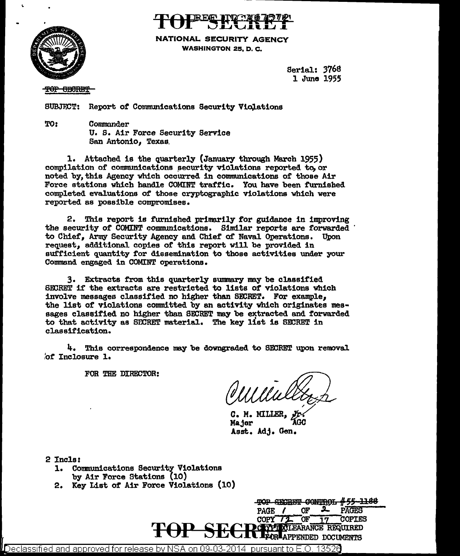



NATIONAL SECURITY AGENCY WASHINGTON 25, D. C.

> Serial: 376S 1 June 1955

TOP GECRET

SUBJECT: Report of Communications Security Violations

TO: Commander U. s. Air Force Security Service San Antonio, Texas.

1. Attached is the quarterly (January through March 1955) compilation of communications security violations reported to, or noted by, this Agency which occurred in communications of those Air Force stations which hand1e COMINT traffic. You have been furnished completed evaluations of those cryptographic violations which were reported as possible compromises.

2. This report is furnished primarily *tor* guidance in improving the security of COMINT communications. Similar reports are forwarded to Chief. Army Security Agency and Chief of Naval Operations. Upon to Chief, Army Security Agency and Chief of Naval Operations. request, additional copies of this report will be provided in sufficient quantity for dissemination to those activities under your Command engaged in COMINT operations.

3. Extracts from this quarterly summary may be classified SEDRET if the extracts are restricted to lists *ot* violations which involve messages classified no higher than BEURET. For example, the list of violations committed by an activity which originates messages classified no higher than SECRET may be extracted and forwarded to that activity as SECRET material. The key list is SECRET in classification.

4. This correspondence may be downgraded to SECRET upon removal ,'of Inclosure 1.

FOR THE DIRECTOR:

C. M. MILLER<br>Major Asst. Adj. Gen.

2 Incls:

- 1. Communications Security Violations by Air Force Stations {10)
- 2. Key List of Air Force Violations (10)



Declassified and approved for release by NSA on 09-03-2014 pursuant to  $E.O$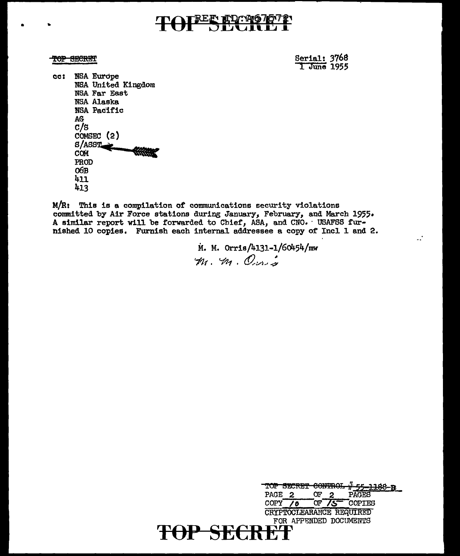## **BEE TO PO**

TOP SECRET

• •

Serial: 3768<br>1 June 1955

 $\ddot{\cdot}$ 

cc: NSA Europe NSA United Kingdom NBA Far East NSA Alaska NSA Pacific AG c/s COMSEC (2)<br>S/ASST ~~SST. .. PROD o6B 411 413

 $M/R$ : This is a compilation of communications security violations committed by Air Force stations during January, February, and March 1955. A similar report will be forwarded to Chief, ASA, and CNO. · USAFSS furnished 10 copies. Furnish each internal addressee a copy of Incl 1 and 2.

> M. M. Orris/4131-1/60454/mw 1 71( • *t..fl'/-t* • *&,'/).•* J;

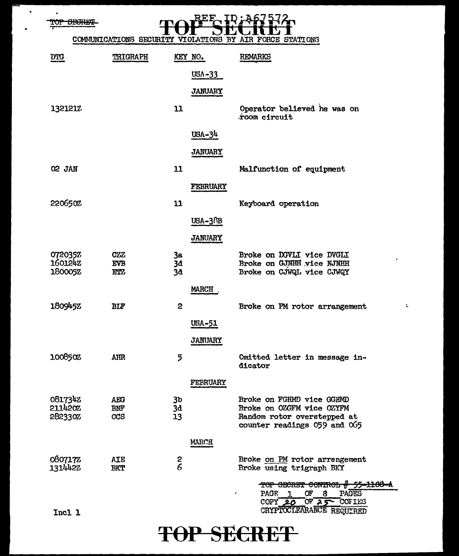TOP SECRET

 $\bullet$ 

 $\ddot{\phantom{1}}$ 



| <b>DTG</b>                           | <b>TRIGRAPH</b>                        |                | KEY NO.        | <b>REMARKS</b>                                                                        |
|--------------------------------------|----------------------------------------|----------------|----------------|---------------------------------------------------------------------------------------|
|                                      |                                        |                | $USA - 33$     |                                                                                       |
|                                      |                                        |                | <b>JANUARY</b> |                                                                                       |
| 1321217                              |                                        | $\mathbf{u}$   |                | Operator believed he was on<br>room circuit                                           |
|                                      |                                        |                | $USA-34$       |                                                                                       |
|                                      |                                        |                | <b>JANUARY</b> |                                                                                       |
| O <sub>2</sub> JAN                   |                                        | 11             |                | Malfunction of equipment                                                              |
|                                      |                                        |                | FEBRUARY       |                                                                                       |
| 220650%                              |                                        | 11             |                | Keyboard operation                                                                    |
|                                      |                                        |                | USA-38B        |                                                                                       |
|                                      |                                        |                | <b>JANUARY</b> |                                                                                       |
| 0720357<br><b>160124Z</b><br>180005Z | <b>CZZ</b><br><b>EVB</b><br><b>ETZ</b> | 3a<br>3d<br>3a |                | Broke on DGVLI vice DVGLI<br>Broke on GJNHH vice NJNHH<br>Broke on CJWQL vice CJWQY   |
|                                      |                                        |                | <b>MARCH</b>   |                                                                                       |
| 180945Z                              | BIF                                    | 2              |                | Broke on PM rotor arrangement                                                         |
|                                      |                                        |                | USA-51         |                                                                                       |
|                                      |                                        |                | <b>JANUARY</b> |                                                                                       |
| 1008502                              | <b>AHR</b>                             | 5              |                | Omitted letter in message in-<br>dicator                                              |
|                                      |                                        |                | FEBRUARY       |                                                                                       |
| 0817342<br>211420Z<br>282330Z        | <b>AEG</b><br><b>BNF</b><br>CCS        | 3b<br>3d<br>13 |                | Broke on FGHMD vice GGHMD<br>Broke on OZGFM vice OZYFM<br>Random rotor overstepped at |
|                                      |                                        |                |                | counter readings 059 and 065                                                          |
|                                      |                                        |                | MARCH          |                                                                                       |
| 0807172<br>1314422                   | <b>AIE</b><br><b>BKT</b>               | $rac{2}{6}$    |                | Broke on PM rotor arrengement<br>Broke using trigraph BKY                             |
|                                      |                                        |                |                | TOP SECRET CONTROL # 55-1166-A<br>Œ<br>PAGES<br>PAGE<br>8<br>1                        |
| Incl 1                               |                                        |                |                | $\overline{OP}$ 25 COFIES<br>$COPY$ 20<br>CRYPTOCLEARANCE REQUIRED                    |

 $\mathbb{L}$ 

# TOP SECRET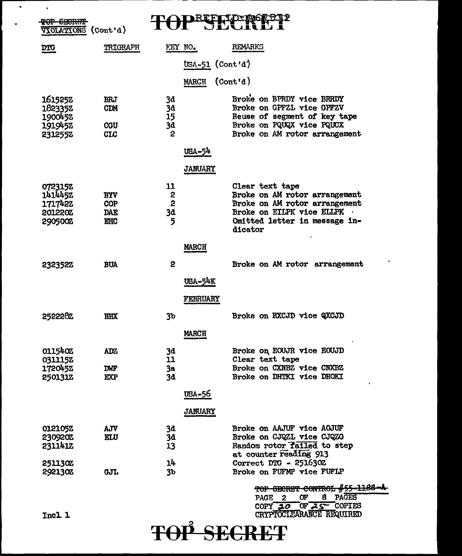| VIOLATIONS (Cont'd)                                 |                                                      |                           |                   |                                                                                                                                                            |
|-----------------------------------------------------|------------------------------------------------------|---------------------------|-------------------|------------------------------------------------------------------------------------------------------------------------------------------------------------|
| $\overline{DTC}$                                    | TRIGRAPH                                             | KEY NO.                   |                   | <b>REMARKS</b>                                                                                                                                             |
|                                                     |                                                      |                           | $USA-51$ (Cont'd) |                                                                                                                                                            |
|                                                     |                                                      |                           | <b>MARCH</b>      | $($ Cont'd)                                                                                                                                                |
|                                                     |                                                      |                           |                   |                                                                                                                                                            |
| 1615252<br>182335Z<br>190045%<br>1919452<br>2312552 | <b>BRJ</b><br><b>CDM</b><br><b>CGU</b><br><b>CLC</b> | 3d<br>3å<br>15<br>3d<br>2 |                   | Broke on BPRDY vice BRRDY<br>Broke on GPFZL vice GPFZV<br>Reuse of segment of key tape<br>Broke on PQUQX vice PQUCX<br>Broke on AM rotor arrangement       |
|                                                     |                                                      |                           | USA-54            |                                                                                                                                                            |
|                                                     |                                                      |                           | <b>JANUARY</b>    |                                                                                                                                                            |
| 0723152<br>1414452<br>1717422<br>201220Z<br>290500Z | <b>BYV</b><br>COP<br><b>DAE</b><br><b>EHC</b>        | 11<br>2<br>2<br>3đ<br>5   |                   | Clear text tape<br>Broke on AM rotor arrangement<br>Broke on AM rotor arrangement<br>Broke on EILPK vice ELLPK<br>Omitted letter in message in-<br>dicator |
|                                                     |                                                      |                           | <b>MARCH</b>      |                                                                                                                                                            |
| 232352Z                                             | <b>BUA</b>                                           | 2                         |                   | Broke on AM rotor arrangement                                                                                                                              |
|                                                     |                                                      |                           | USA-54K           |                                                                                                                                                            |
|                                                     |                                                      |                           | <b>FEBRUARY</b>   |                                                                                                                                                            |
|                                                     |                                                      |                           |                   |                                                                                                                                                            |
| 2522282                                             | HHX                                                  | 3 <sub>b</sub>            |                   | Broke on RXCJD vice QXCJD                                                                                                                                  |
|                                                     |                                                      |                           | <b>MARCH</b>      |                                                                                                                                                            |
| 0115402                                             | <b>ADZ</b>                                           | 3d                        |                   | Broke on EOUJR vice EOUJD                                                                                                                                  |
| 031115Z                                             |                                                      | 11                        |                   | Clear text tape                                                                                                                                            |
| 1720452<br>250131Z                                  | <b>DWF</b>                                           | 3а                        |                   | Broke on CXNBZ vice CNXBZ<br>Broke on DHTKI vice DHOKI                                                                                                     |
|                                                     | <b>EXP</b>                                           | 3d                        |                   |                                                                                                                                                            |
|                                                     |                                                      |                           | USA-56            |                                                                                                                                                            |
|                                                     |                                                      |                           | <b>JANUARY</b>    |                                                                                                                                                            |
| 012105Z                                             | <b>AJV</b>                                           | 3d                        |                   | Broke on AAJUF vice AOJUF                                                                                                                                  |
| 230920Z                                             | ELU                                                  | 3d                        |                   | Broke on CJQZL vice CJQZG                                                                                                                                  |
| 2311412                                             |                                                      | 13                        |                   | Random rotor failed to step                                                                                                                                |
| <b>251130Z</b>                                      |                                                      | 14                        |                   | at counter reading 913<br>Correct DTG - 251630Z                                                                                                            |
| 2921302                                             | <b>GJL</b>                                           | 3 <sub>b</sub>            |                   | Broke on FUFMP vice FUFLP                                                                                                                                  |
|                                                     |                                                      |                           |                   | TOP SECRET CONTROL #55-1188                                                                                                                                |
|                                                     |                                                      |                           |                   | 8 PAGES<br>Œ<br><b>PAGE</b><br>$\boldsymbol{2}$                                                                                                            |
| Tool l                                              |                                                      |                           |                   | COPY $20$ OF $25$ COPTES<br>CRYPTOTE ARANCE REQUIRED                                                                                                       |
|                                                     |                                                      |                           |                   |                                                                                                                                                            |

 $\mathcal{L}_{\mathcal{A}}$ 

# **CRYPTOCLEARANCE REQUIRED FOR SECRETE**

TUCT T

 $\overline{\phantom{a}}$  . The set of  $\overline{\phantom{a}}$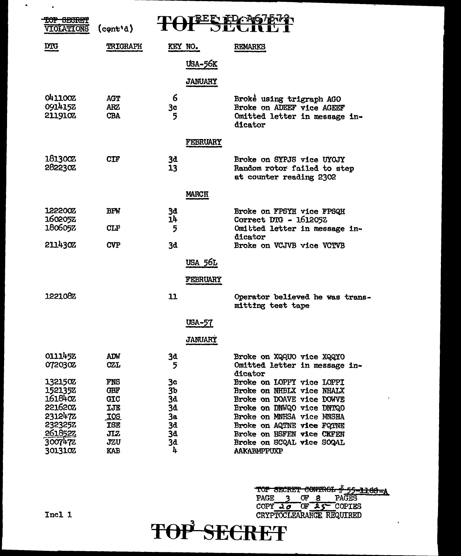| <del>sraan</del><br><b>EOT</b><br>VIOLATIONS | $\text{(cont'd)}$        |                      |                                                                                     |
|----------------------------------------------|--------------------------|----------------------|-------------------------------------------------------------------------------------|
| <b>DIG</b>                                   | TRIGRAPH                 | KEY NO.              | <b>REMARKS</b>                                                                      |
|                                              |                          | <b>USA-56K</b>       |                                                                                     |
|                                              |                          | <b>JANUARY</b>       |                                                                                     |
| <b>041100Z</b>                               | <b>AGT</b>               | 6                    | Broke using trigraph AGO                                                            |
| 0914152<br>2119102                           | <b>ARZ</b><br><b>CBA</b> | 3 <sub>c</sub><br>5  | Broke on ADEEF vice AGEEF<br>Omitted letter in message in-<br>dicator               |
|                                              |                          | FEBRUARY             |                                                                                     |
| 181300Z<br>2822302                           | CIF                      | 3đ<br>13             | Broke on SYPJS vice UYOJY<br>Random rotor failed to step<br>at counter reading 2302 |
|                                              |                          | <b>MARCH</b>         |                                                                                     |
| <b>122200Z</b><br>1602052                    | <b>BPW</b>               | 3đ<br>14             | Broke on FPSYH vice FPSQH<br>Correct DTG - 161205Z                                  |
| 1806052<br><b>211430Z</b>                    | <b>CLP</b><br><b>CVP</b> | 5<br>3d              | Omitted letter in message in-<br>dicator<br>Broke on VCJVB vice VCTVB               |
|                                              |                          | USA 56L              |                                                                                     |
|                                              |                          | <b>FEBRUARY</b>      |                                                                                     |
| 1221082                                      |                          | 11                   | Operator believed he was trans.<br>mitting test tape                                |
|                                              |                          | <b>USA-57</b>        |                                                                                     |
|                                              |                          | <b>JANUARY</b>       |                                                                                     |
| 0111452<br>072030Z                           | ADW<br><b>CZL</b>        | 3d<br>5              | Broke on XQQUO vice XQQYO<br>Omitted letter in message in-<br>dicator               |
| 132150Z<br>1521352                           | <b>FNS</b><br><b>GBF</b> | Зc<br>3 <sub>b</sub> | Broke on LOPPY vice LOPPI<br>Broke on NHBLX vice NHALX                              |
| 161840Z                                      | GIC                      | 3d                   | Broke on DOAVE vice DOWVE                                                           |
| 2216202                                      | <b>IJE</b>               | 3d                   | Broke on DNWQO vice DNTQO                                                           |
| 2312472                                      | <b>IOS</b>               | 3a                   | Broke on MNHSA vice MNSHA                                                           |
| 2323252                                      | <b>TSE</b>               | 3đ                   | Broke on AQTNE vice FQTNE                                                           |
| 2618522                                      | JIZ                      | 3d                   | Broke on HSFEN vice CKFEN                                                           |
| 3007472<br>3013102                           | JZU<br><b>KAB</b>        | 3đ<br>4              | Broke on SCQAL vice SOQAL<br>AAKABMPPUXP                                            |

TOP SECRET CONTROL # 55-1168-A<br>
PAGE 3 OF 8 PAGES<br>
COPY 20 OF AS COPIES<br>
CRYPTOCLEARANGE REQUIRED<br>
TOP'SECRET

l,

### Incl 1

 $\sim$ 

 $\sim 10^{11}$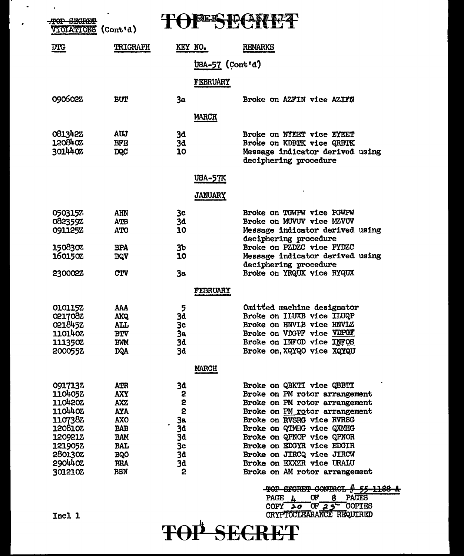| <del>CECRET</del><br><b>CIOLATIONS</b> | $\text{(Cont } d)$       |                |                                                                                                                    |
|----------------------------------------|--------------------------|----------------|--------------------------------------------------------------------------------------------------------------------|
| <b>DIG</b>                             | TRIGRAPH                 | KEY NO.        | REMARKS                                                                                                            |
|                                        |                          |                | USA-57 (Cont'd)                                                                                                    |
|                                        |                          | FEBRUARY       |                                                                                                                    |
| 090602Z                                | <b>BUT</b>               | 3a             | Broke on AZFIN vice AZIFN                                                                                          |
|                                        |                          |                |                                                                                                                    |
|                                        |                          | <b>MARCH</b>   |                                                                                                                    |
| 081342Z                                | AUJ                      | 3d             | Broke on NYEET vice EYEET                                                                                          |
| 120840Z<br>301440Z                     | <b>BFE</b><br><b>DQC</b> | 3d<br>10       | Broke on KDBTK vice QRBTK<br>Message indicator derived using<br>deciphering procedure                              |
|                                        |                          | <u>USA-57K</u> |                                                                                                                    |
|                                        |                          | <b>JANUARY</b> |                                                                                                                    |
| 0503157                                | AHN                      | 3c             | Broke on TGWPW vice PGWPW                                                                                          |
| 082359Z                                | ATB                      | 3d             | Broke on MUVUV vice MZVUV                                                                                          |
| 0911252                                | <b>OTA</b>               | 10             | Message indicator derived using<br>deciphering procedure                                                           |
| 150830%                                | <b>BPA</b>               | 3 <sub>b</sub> | Broke on PZDZC vice PYDZC                                                                                          |
| 1601502                                | <b>BQV</b>               | 10             | Message indicator derived using                                                                                    |
| 2300022                                | <b>CTV</b>               | 3a             | deciphering procedure<br>Broke on YRQUX vice RYQUX                                                                 |
|                                        |                          | FEBRUARY       |                                                                                                                    |
|                                        |                          |                |                                                                                                                    |
| 0101152                                | AAA                      | 5              | Omitted machine designator                                                                                         |
| 0217082                                | <b>AKQ</b>               | 3d             | Broke on ILUXB vice ILUQP<br>Broke on HNVLB vice HNVLZ                                                             |
| 021845Z<br>1101402                     | <b>ALL</b><br><b>BTV</b> | 3c<br>Зa       | Broke on VDGPF vice VDPGF                                                                                          |
| 111350Z                                | <b>BWM</b>               | 3d             | Broke on INFOD vice INFOS                                                                                          |
| 2000552                                | <b>DQA</b>               | 3d             | Broke on, XQYQO vice XQYQU                                                                                         |
|                                        |                          | <b>MARCH</b>   |                                                                                                                    |
| 0917137                                | <b>ATR</b>               | 3d             | Broke on QBKTI vice QBBTI                                                                                          |
| 1104052                                | <b>AXY</b>               | 2              | Broke on PM rotor arrangement                                                                                      |
| 110420Z                                | <b>AXZ</b>               | 2              | Broke on PM rotor arrangement                                                                                      |
| 1104402                                | <b>AYA</b>               | $\overline{2}$ | Broke on PM rotor arrangement                                                                                      |
| 110738Z<br>120810Z                     | <b>AXO</b><br><b>BAB</b> | 3a<br>3d       | Broke on RVSRG vice RVRSG<br>Broke on QTMHG vice QXMHG                                                             |
| 120921Z                                | <b>BAM</b>               | 3d             | Broke on QPNOP vice QPNOR                                                                                          |
| 121905Z                                | <b>BAL</b>               | 3c             | Broke on EDGYR vice EDGIR                                                                                          |
| 280130Z                                | <b>BQO</b>               | 3d             | Broke on JIRCQ vice JIRCW                                                                                          |
| 2904402                                | <b>BRA</b>               | 3d             | Broke on EXXZR vice URALU                                                                                          |
| 301210Z                                | BSN                      | 2              | Broke on AM rotor arrangement                                                                                      |
|                                        |                          |                | <del>55-1188</del><br>CONTROL                                                                                      |
|                                        |                          |                | <b>PAGES</b><br>PAGE 4<br>Œ<br>8<br>COPY $\overline{\lambda \sigma}$ OF $\overline{\lambda}$ S <sup>-</sup> COPIES |
| Incl 1                                 |                          |                | CRYPTOCLEARANCE REQUIRED                                                                                           |
|                                        |                          |                | <b>TOP SECRET</b>                                                                                                  |
|                                        |                          |                |                                                                                                                    |

 $\bullet$  ,  $\bullet$  ,  $\bullet$ 

 $\bullet$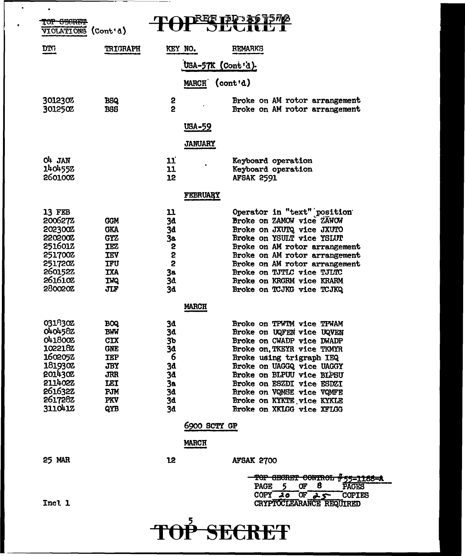| TOP SEGRET<br><b><i>UIOLATIONS</i></b>                                                                               | $\text{(Cont } d)$                                                                      |                                                    | ⋠₩ <i>⋞</i> ⋠⋐ <i>≰⊀₫</i> ঢ়                                                                                                                                                                                                        |  |  |  |  |
|----------------------------------------------------------------------------------------------------------------------|-----------------------------------------------------------------------------------------|----------------------------------------------------|-------------------------------------------------------------------------------------------------------------------------------------------------------------------------------------------------------------------------------------|--|--|--|--|
| <b>DIG</b>                                                                                                           | <b>TRIGRAPH</b>                                                                         | KEY NO.                                            | <b>REMARKS</b>                                                                                                                                                                                                                      |  |  |  |  |
| USA-57K (Cont'd).                                                                                                    |                                                                                         |                                                    |                                                                                                                                                                                                                                     |  |  |  |  |
|                                                                                                                      |                                                                                         | <b>MARCH</b>                                       | (cont'd)                                                                                                                                                                                                                            |  |  |  |  |
| 301230%<br>301250Z                                                                                                   | <b>BSQ</b><br><b>BSS</b>                                                                | 2<br>2                                             | Broke on AM rotor arrangement<br>Broke on AM rotor arrangement                                                                                                                                                                      |  |  |  |  |
|                                                                                                                      |                                                                                         | USA-59                                             |                                                                                                                                                                                                                                     |  |  |  |  |
|                                                                                                                      |                                                                                         | <b>JANUARY</b>                                     |                                                                                                                                                                                                                                     |  |  |  |  |
| $O1$ JAN<br>140455Z<br>260100Z                                                                                       |                                                                                         | 11<br>11<br>12                                     | Keyboard operation<br>Keyboard operation<br><b>AFSAK 2591</b>                                                                                                                                                                       |  |  |  |  |
|                                                                                                                      |                                                                                         | FEBRUARY                                           |                                                                                                                                                                                                                                     |  |  |  |  |
| 13 FEB<br>200627Z<br>202300Z<br><b>220200Z</b><br>2516012                                                            | <b>GGM</b><br><b>GKA</b><br><b>GYZ</b><br><b>IEZ</b>                                    | 11<br>3d<br>3d<br>3а<br>2                          | Operator in "text" position<br>Broke on ZAMOW vice ZAWOW<br>Broke on JXUTQ vice JXUTO<br>Broke on YSULT vice YSLUT<br>Broke on AM rotor arrangement                                                                                 |  |  |  |  |
| <b>251700Z</b><br><b>251720Z</b><br>2601522<br>2616102<br>280020Z                                                    | <b>IEV</b><br><b>IFU</b><br><b>TXA</b><br><b>IWQ</b><br>JIF                             | 2<br>2<br>3a<br>3d<br>3d                           | Broke on AM rotor arrangement<br>Broke on AM rotor arrangement<br><b>Broke on TJTLC vice TJLTC</b><br>Broke on KRGRM vice KRARM<br>Broke on TCJKG vice TCJKQ                                                                        |  |  |  |  |
|                                                                                                                      |                                                                                         | <b>MARCH</b>                                       |                                                                                                                                                                                                                                     |  |  |  |  |
| 031830Z<br>0404582<br><b>041800Z</b><br>1022182<br><b>1602052</b><br>1819302<br>2014302<br><b>211402Z</b><br>261632Z | <b>BOQ</b><br><b>BWW</b><br>CIX<br><b>GNE</b><br><b>TEP</b><br>JBY<br><b>JRR</b><br>LEI | 3d<br>3d<br>3b<br>3d<br>6<br><b>3d</b><br>3đ<br>За | Broke on TPWTM vice TPWAM<br>Broke on UQFEN vice UQVEN<br>Broke on CWADP vice DWADP<br>Broke on TKEYR vice TKMYR<br>Broke using trigraph IEQ<br>Broke on UAGGQ vice UAGGY<br>Broke on BLPUU vice BLPSU<br>Broke on ESZDI vice ESDZI |  |  |  |  |
| 2617282                                                                                                              | PJM<br><b>PKV</b>                                                                       | 3đ<br>3d                                           | Broke on VQMSE vice VQMFE<br>Broke on KYKTE vice KYKLE                                                                                                                                                                              |  |  |  |  |
| 3110412                                                                                                              | QYB                                                                                     | 3d<br>6900 SCTY GP<br>MARCH                        | Broke on XKLGG vice XFLGG                                                                                                                                                                                                           |  |  |  |  |
| 25 MAR                                                                                                               |                                                                                         | 12                                                 | <b>AFSAK 2700</b><br>TOP SECRET CONTROL #55-1168-A<br>8<br>5<br>OF<br><b>PAGE</b><br><b>PAGES</b>                                                                                                                                   |  |  |  |  |
| Incl 1                                                                                                               |                                                                                         |                                                    | COPY $20$<br>$or \rightarrow s$<br><b>COPIES</b><br>CRYPTOCLEARANCE REQUIRED                                                                                                                                                        |  |  |  |  |

 $-\cdot$ 

5 TOP **SECRET** 

 $\bullet$ 

 $\mathbf{r}$ 

 $\sim 10$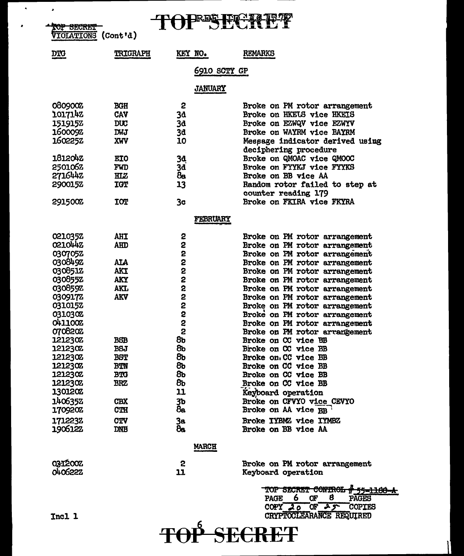# TOPESECRE?

TOP SECRET (Cont'd)

 $\hat{\mathbf{z}}$ 

 $\bullet$ 

 $\bullet$ 

| TRIGRAPH<br><b>DTG</b><br>فسيرتبط تنبوه | KEY NO. | <b>REMARKS</b> |
|-----------------------------------------|---------|----------------|
|-----------------------------------------|---------|----------------|

## 6910 SCTY GP

**JANUARY** 

| 0809002        | <b>BGH</b>  | 2                | Broke on PM rotor arrangement                |
|----------------|-------------|------------------|----------------------------------------------|
| 1017142        | CAV         | 3 <sub>d</sub>   | Broke on HKELS vice HKEIS                    |
| 151915Z        | <b>DUC</b>  | 3d               | Broke on EZWQV vice EZWYV                    |
| 1600092        | <b>DWJ</b>  |                  | Broke on WAYRM vice BAYRM                    |
|                |             | 3d               |                                              |
| 1602252        | XWV         | 10               | Message indicator derived using              |
|                |             |                  | deciphering procedure                        |
| <b>1812042</b> | <b>EIO</b>  | 3d               | Broke on QMOAC vice QMOOC                    |
| 2501062        | FWD         | 3d               | Broke on FYYKJ vice FYYKS                    |
| 2716442        | HIZ         | 8s               | Broke on BB vice AA                          |
| 2900152        | <b>TCT</b>  | 13               | Random rotor failed to step at               |
|                |             |                  | counter reading 179                          |
| 291500Z        | <b>TOT</b>  | 3 <sub>c</sub>   | Broke on FKIRA vice FKYRA                    |
|                |             | <b>FEBRUARY</b>  |                                              |
| 021035Z        | AHT         | 2                | Broke on PM rotor arrangement                |
| 0210442        | <b>AHD</b>  | 2                | Broke on PM rotor arrangement                |
| 0307052        |             | 2                |                                              |
| 030849Z        | <b>ALA</b>  | 2                | Broke on PM rotor arrangement                |
|                |             |                  | Broke on PM rotor arrangement                |
| 0308512        | <b>AKT</b>  | 2                | Broke on PM rotor arrangement                |
| 0308552        | <b>AKY</b>  |                  | Broke on PM rotor arrangement                |
| 030859Z        | <b>AKT,</b> | 2<br>2<br>2<br>2 | Broke on PM rotor arrangement                |
| 0309172        | <b>AKV</b>  |                  | Broke on PM rotor arrangement                |
| 0310152        |             | 2                | Broke on PM rotor arrangement                |
| 031030Z        |             | 2                | Broke on PM rotor arrangement                |
| 0411002        |             | 2                | Broke on PM rotor arrangement                |
| 070820Z        |             | 2                | Broke on PM rotor arrangement                |
| <b>121230Z</b> | <b>BSB</b>  | 8ь               | Broke on CC vice BB                          |
| <b>121230Z</b> | <b>BSJ</b>  | 8b               | Broke on CC vice BB                          |
| 1212302        | <b>BST</b>  | 8 <sub>b</sub>   | Broke on CC vice BB                          |
| <b>121230Z</b> | <b>BTN</b>  | 8ь               | Broke on CC vice BB                          |
| <b>121230Z</b> | <b>BTG</b>  | 8b               | Broke on CC vice BB                          |
| 1212302        | <b>BRZ</b>  | 8b               | Broke on CC vice BB                          |
| <b>130120Z</b> |             | 11               | Keyboard operation                           |
| 1406352        | <b>CBX</b>  | 3 <sub>b</sub>   | Broke on CFVYO vice CEVYO                    |
| 1709202        | <b>CTH</b>  | 8a               | Broke on AA vice BB                          |
| 1712232        |             |                  |                                              |
|                | <b>CTV</b>  | 3a               | Broke IYBMZ vice IYMBZ                       |
| 1906122        | <b>DNB</b>  | 8e.              | Broke on BB vice AA                          |
|                |             | <b>MARCH</b>     |                                              |
| 0312002        |             | 2                | Broke on PM rotor arrangement                |
| 040622Z        |             | 11               | Keyboard operation                           |
|                |             |                  | TOP SECRET CONTROL<br><del># 55=1188-A</del> |
|                |             |                  | 6<br>8<br><b>PAGE</b><br>Œ<br><b>PAGES</b>   |
|                |             |                  | <u> በለክሊ ብቻ</u><br><b>ON I &amp; CODITES</b> |

COPY 20 OF 25 COPIES TOP SECRET

Incl 1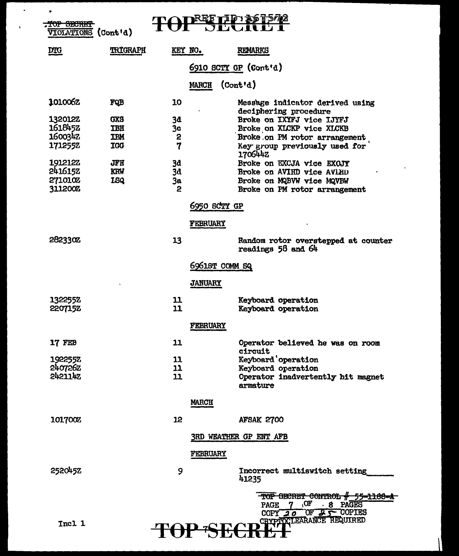| ٠ | TUP SECRET                |                          |                     |                 | RRR LID XD AD N                                                                                                         |
|---|---------------------------|--------------------------|---------------------|-----------------|-------------------------------------------------------------------------------------------------------------------------|
|   | VIOLATIONS (Cont'd)       |                          |                     |                 |                                                                                                                         |
|   | <b>DIG</b>                | TRIGRAPH                 | KEY NO.             |                 | <b>REMARKS</b>                                                                                                          |
|   |                           |                          |                     |                 | 6910 SCTY GP (Cont'd)                                                                                                   |
|   |                           |                          |                     | <b>MARCH</b>    | $($ Cont'd $)$                                                                                                          |
|   | 101006z                   | FQB                      | 10                  |                 | Message indicator derived using<br>deciphering procedure                                                                |
|   | <b>132012Z</b><br>1618452 | <b>GXS</b>               | 3d                  |                 | Broke on IXYFJ vice IJYFJ                                                                                               |
|   | 1600342                   | <b>TBH</b><br><b>TBM</b> | 3 <sub>c</sub><br>2 |                 | Broke on XLCKP vice XLCKB<br>Broke on PM rotor arrangement                                                              |
|   | 1712552                   | <b>IGG</b>               | 7                   |                 | Key group previously used for                                                                                           |
|   | 1912122                   | JFH                      | 3d                  |                 | 1706442<br>Broke on EXCJA vice EXOJY                                                                                    |
|   | 2416152                   | <b>KRW</b>               | 3d                  |                 | Broke on AVIHD vice AVLHD                                                                                               |
|   | <b>271010Z</b>            | <b>ISQ</b>               | 3a                  |                 | Broke on MQBVW vice MQVBW                                                                                               |
|   | 311200Z                   |                          | 2                   |                 | Broke on PM rotor arrangement                                                                                           |
|   |                           |                          |                     | 6950 scry gp    |                                                                                                                         |
|   |                           |                          |                     | <b>FEBRUARY</b> |                                                                                                                         |
|   | 282330Z                   |                          | 13                  |                 | Random rotor overstepped at counter<br>readings 58 and 64                                                               |
|   |                           |                          |                     | 6961ST COMM SQ  |                                                                                                                         |
|   |                           |                          |                     | <b>JANUARY</b>  |                                                                                                                         |
|   | 1322552                   |                          | 11<br>11            |                 | Keyboard operation                                                                                                      |
|   | 2207152                   |                          |                     |                 | Keyboard operation                                                                                                      |
|   |                           |                          |                     | FEBRUARY        |                                                                                                                         |
|   | 17 FEB                    |                          | 11                  |                 | Operator believed he was on room<br><b>circuit</b>                                                                      |
|   | 1922552                   |                          | 11                  |                 | Keyboard 'operation                                                                                                     |
|   | 240726Z                   |                          | 11                  |                 | Keyboard operation                                                                                                      |
|   | 2421142                   |                          | 11                  |                 | Operator inadvertently hit magnet<br>armature                                                                           |
|   |                           |                          |                     | <b>MARCH</b>    |                                                                                                                         |
|   | 1017002                   |                          | 12                  |                 | <b>AFSAK 2700</b>                                                                                                       |
|   |                           |                          |                     |                 | <b>3RD WEATHER GP ENT AFB</b>                                                                                           |
|   |                           |                          |                     | <b>FEBRUARY</b> |                                                                                                                         |
|   | 2520452                   |                          | 9                   |                 | Incorrect multiswitch setting<br>41235                                                                                  |
|   | Incl 1                    |                          |                     |                 | TOP GECRET CONTROL # 55-1168-A<br>7 OF . 8 PAGES<br><b>PAGE</b><br>COPY $20$ OF $25$ COPIES<br>CRYPTOCLEARANCE REQUIRED |

 $\mathcal{A}^{\pm}$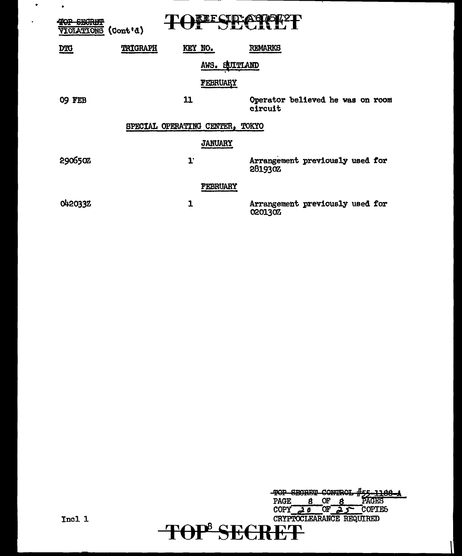| <b>CHADLY</b><br>٠<br><b>SIOLATIONS</b> | (Cont <sup>t</sup> d)           | <b>REF</b>     | VIJVINI        |                                  |  |
|-----------------------------------------|---------------------------------|----------------|----------------|----------------------------------|--|
| <b>DIG</b>                              | TRIGRAPH                        | KEY NO.        | <b>REMARKS</b> |                                  |  |
|                                         |                                 | AWS. SUITLAND  |                |                                  |  |
|                                         |                                 | FEBRUARY       |                |                                  |  |
| O9 FEB                                  | 11                              |                | circuit        | Operator believed he was on room |  |
|                                         | SPECIAL OPERATING CENTER, TOKYO |                |                |                                  |  |
|                                         |                                 | <b>JANUARY</b> |                |                                  |  |
| 290650%                                 | $\mathbf{L}$                    |                | 2819302        | Arrangement previously used for  |  |
|                                         |                                 | FEBRUARY       |                |                                  |  |
| 0420332                                 | 1                               |                | 0201302        | Arrangement previously used for  |  |

 $\sim 10^{11}$ 

 $\bullet$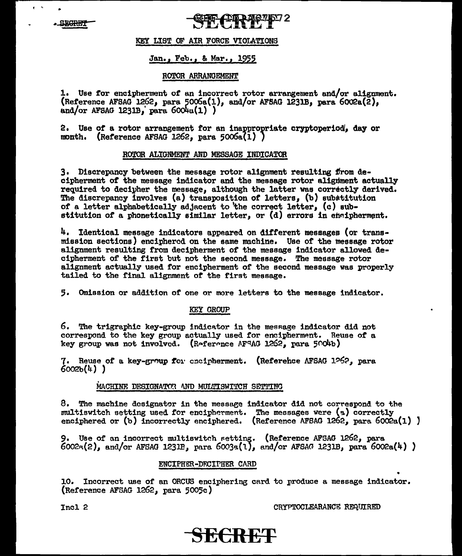#### KEY LIST OF AIR FORCE VIOLATIONS

#### Jan., Feb., & Mar., 1955

#### ROTOR ARRANGEMENT

1. Use for encipherment of an incorrect rotor arrangement and/or alignment. (Reference AFSAG 1262, para 5006a(1), and/or AFSAG 1231B, para 6002a(2), and/or AFSAG  $1231B$ , para  $6004a(1)$ )

2. Use of a rotor arrangement for an inappropriate cryptoperiod, day or month. (Reference AFSAG 1262. para  $5006a(1)$ )

#### ROTOR ALIGNMENT AND MESSAGE INDICATOR

3. Discrepancy between the message rotor alignment resulting from decipherment of the message indicator and the message rotor alignment actually required to decipher the message, although the latter was correctly derived. The discrepancy involves (a) transposition of letters, (b) substitution of a letter alphabetically adjacent to the correct letter, (c) substitution of a phonetically similar letter, or (d) errors in encipherment.

4. Identical message indicators appeared on different messages (or transmission sections) enciphered on the same machine. Use of the message rotor alignment resulting from decipherment of the message indicator allowed decipherment of the first but not the second message. The message rotor alignment actually used for encipherment of the second message was properly tailed to the final alignment of the first message.

5. Omission or addition of one or more letters to the message indicator.

#### KEY GROUP

6. The trigraphic key-group indicator in the message indicator did not correspond to the key group actually used for encipherment. Reuse of a key group was not involved. (Reference AFRAG 1262, para 5004b)

(Referehce AFSAG 1262, para 7. Reuse of a key-group for encipherment.  $60026(4)$  )

#### MACHINE DESIGNATOR AND MULTISWITCH SETTING

8. The machine designator in the message indicator did not correspond to the multiswitch setting used for encipherment. The messages were (a) correctly enciphered or (b) incorrectly enciphered. (Reference AFSAG 1262, para  $6002a(1)$ )

9. Use of an incorrect multiswitch setting. (Reference AFSAG 1262, para 6002a(2), and/or AFSAG 1231B, para 6003a(1), and/or AFSAG 1231B, para 6002a(4))

#### ENCIPHER-DFCIPHER CARD

10. Incorrect use of an ORCUS enciphering card to produce a message indicator. (Reference AFSAG 1262, para 5005c)

Incl 2

CRYPTOCLEARANCE REQUIRED

## SECREP